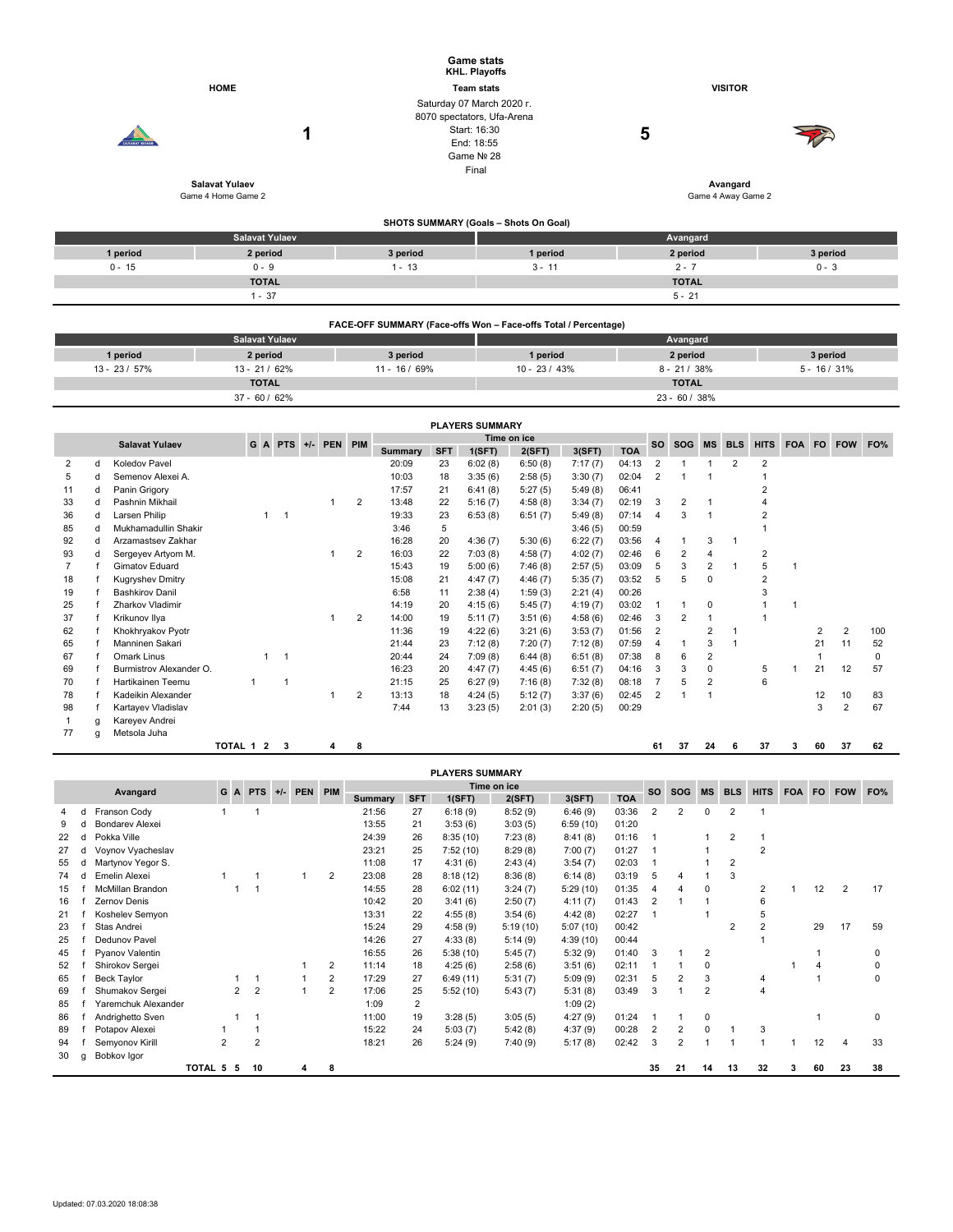|                       |                                             |               | <b>Game stats</b><br>KHL. Playoffs                                      |                |                |  |  |  |  |  |  |  |  |  |  |
|-----------------------|---------------------------------------------|---------------|-------------------------------------------------------------------------|----------------|----------------|--|--|--|--|--|--|--|--|--|--|
|                       | <b>HOME</b>                                 |               | <b>Team stats</b>                                                       | <b>VISITOR</b> |                |  |  |  |  |  |  |  |  |  |  |
| <b>CARARAT KORAFR</b> | 1                                           |               | Saturday 07 March 2020 r.<br>8070 spectators, Ufa-Arena<br>Start: 16:30 | 5              |                |  |  |  |  |  |  |  |  |  |  |
|                       |                                             |               | End: 18:55<br>Game Nº 28                                                |                |                |  |  |  |  |  |  |  |  |  |  |
|                       |                                             |               | Final                                                                   |                |                |  |  |  |  |  |  |  |  |  |  |
|                       | <b>Salavat Yulaev</b><br>Game 4 Home Game 2 |               | Avangard<br>Game 4 Away Game 2                                          |                |                |  |  |  |  |  |  |  |  |  |  |
|                       | SHOTS SUMMARY (Goals - Shots On Goal)       |               |                                                                         |                |                |  |  |  |  |  |  |  |  |  |  |
|                       | <b>Salavat Yulaev</b>                       |               |                                                                         | Avangard       |                |  |  |  |  |  |  |  |  |  |  |
| 1 period              | 2 period                                    | 3 period      | 1 period                                                                | 2 period       | 3 period       |  |  |  |  |  |  |  |  |  |  |
| $0 - 15$              | $0 - 9$                                     | $1 - 13$      | $3 - 11$                                                                | $2 - 7$        | $0 - 3$        |  |  |  |  |  |  |  |  |  |  |
|                       | <b>TOTAL</b>                                |               |                                                                         | <b>TOTAL</b>   |                |  |  |  |  |  |  |  |  |  |  |
|                       | $1 - 37$                                    |               |                                                                         | $5 - 21$       |                |  |  |  |  |  |  |  |  |  |  |
|                       |                                             |               | FACE-OFF SUMMARY (Face-offs Won - Face-offs Total / Percentage)         |                |                |  |  |  |  |  |  |  |  |  |  |
|                       | <b>Salavat Yulaev</b>                       |               |                                                                         | Avangard       |                |  |  |  |  |  |  |  |  |  |  |
| 1 period              | 2 period                                    | 3 period      | 1 period                                                                | 2 period       | 3 period       |  |  |  |  |  |  |  |  |  |  |
| 13 - 23 / 57%         | 13 - 21 / 62%                               | 11 - 16 / 69% | $10 - 23 / 43%$                                                         | $8 - 21 / 38%$ | $5 - 16 / 31%$ |  |  |  |  |  |  |  |  |  |  |
|                       | <b>TOTAL</b>                                |               |                                                                         | <b>TOTAL</b>   |                |  |  |  |  |  |  |  |  |  |  |
|                       | 37 - 60 / 62%                               |               |                                                                         | 23 - 60 / 38%  |                |  |  |  |  |  |  |  |  |  |  |

| <b>PLAYERS SUMMARY</b> |                       |                         |           |              |                |  |             |                |            |        |         |           |            |           |                |                         |                |                |                |     |                |    |     |
|------------------------|-----------------------|-------------------------|-----------|--------------|----------------|--|-------------|----------------|------------|--------|---------|-----------|------------|-----------|----------------|-------------------------|----------------|----------------|----------------|-----|----------------|----|-----|
|                        | <b>Salavat Yulaev</b> | G A PTS +/- PEN PIM     |           |              |                |  | Time on ice |                |            |        |         | <b>SO</b> | <b>SOG</b> | <b>MS</b> | <b>BLS</b>     | <b>HITS</b>             | <b>FOA</b>     | <b>FO</b>      | <b>FOW</b>     | FO% |                |    |     |
|                        |                       |                         |           |              |                |  |             | <b>Summary</b> | <b>SFT</b> | 1(SFT) | 2(SFT)  | 3(SFT)    | <b>TOA</b> |           |                |                         |                |                |                |     |                |    |     |
| 2                      | d                     | Koledov Pavel           |           |              |                |  |             |                | 20:09      | 23     | 6:02(8) | 6:50(8)   | 7:17(7)    | 04:13     | $\overline{2}$ |                         |                | $\overline{2}$ | $\overline{2}$ |     |                |    |     |
| 5                      | d                     | Semenov Alexei A.       |           |              |                |  |             |                | 10:03      | 18     | 3:35(6) | 2:58(5)   | 3:30(7)    | 02:04     | $\overline{2}$ |                         |                |                |                |     |                |    |     |
| 11                     | d                     | Panin Grigory           |           |              |                |  |             |                | 17:57      | 21     | 6:41(8) | 5:27(5)   | 5:49(8)    | 06:41     |                |                         |                |                | $\overline{2}$ |     |                |    |     |
| 33                     | d                     | Pashnin Mikhail         |           |              |                |  | 1           | $\overline{2}$ | 13:48      | 22     | 5:16(7) | 4:58(8)   | 3:34(7)    | 02:19     | 3              | $\overline{\mathbf{c}}$ |                |                |                |     |                |    |     |
| 36                     | d                     | Larsen Philip           |           | $\mathbf{1}$ |                |  |             |                | 19:33      | 23     | 6:53(8) | 6:51(7)   | 5:49(8)    | 07:14     | 4              | 3                       |                |                |                |     |                |    |     |
| 85                     |                       | Mukhamadullin Shakir    |           |              |                |  |             |                | 3:46       | 5      |         |           | 3:46(5)    | 00:59     |                |                         |                |                |                |     |                |    |     |
| 92                     |                       | Arzamastsev Zakhar      |           |              |                |  |             |                | 16:28      | 20     | 4:36(7) | 5:30(6)   | 6:22(7)    | 03:56     | $\overline{4}$ |                         | 3              |                |                |     |                |    |     |
| 93                     |                       | Sergeyev Artyom M.      |           |              |                |  |             | $\overline{2}$ | 16:03      | 22     | 7:03(8) | 4:58(7)   | 4:02(7)    | 02:46     | 6              | 2                       | 4              |                | 2              |     |                |    |     |
| 7                      |                       | Gimatov Eduard          |           |              |                |  |             |                | 15:43      | 19     | 5:00(6) | 7:46(8)   | 2:57(5)    | 03:09     | 5              | 3                       | 2              |                | 5              |     |                |    |     |
| 18                     |                       | <b>Kugryshev Dmitry</b> |           |              |                |  |             |                | 15:08      | 21     | 4:47(7) | 4:46(7)   | 5:35(7)    | 03:52     | 5              | 5                       | 0              |                | 2              |     |                |    |     |
| 19                     |                       | <b>Bashkirov Danil</b>  |           |              |                |  |             |                | 6:58       | 11     | 2:38(4) | 1:59(3)   | 2:21(4)    | 00:26     |                |                         |                |                | 3              |     |                |    |     |
| 25                     |                       | Zharkov Vladimir        |           |              |                |  |             |                | 14:19      | 20     | 4:15(6) | 5:45(7)   | 4:19(7)    | 03:02     |                |                         | 0              |                |                |     |                |    |     |
| 37                     |                       | Krikunov Ilya           |           |              |                |  |             | 2              | 14:00      | 19     | 5:11(7) | 3:51(6)   | 4:58(6)    | 02:46     | 3              | $\overline{2}$          |                |                |                |     |                |    |     |
| 62                     |                       | Khokhryakov Pyotr       |           |              |                |  |             |                | 11:36      | 19     | 4:22(6) | 3:21(6)   | 3:53(7)    | 01:56     | $\overline{2}$ |                         | $\overline{2}$ |                |                |     | $\overline{2}$ | 2  | 100 |
| 65                     |                       | Manninen Sakari         |           |              |                |  |             |                | 21:44      | 23     | 7:12(8) | 7:20(7)   | 7:12(8)    | 07:59     | $\overline{4}$ |                         | 3              |                |                |     | 21             | 11 | 52  |
| 67                     |                       | Omark Linus             |           | $\mathbf{1}$ | $\overline{1}$ |  |             |                | 20:44      | 24     | 7:09(8) | 6:44(8)   | 6:51(8)    | 07:38     | 8              | 6                       | 2              |                |                |     |                |    | 0   |
| 69                     |                       | Burmistrov Alexander O. |           |              |                |  |             |                | 16:23      | 20     | 4:47(7) | 4:45(6)   | 6:51(7)    | 04:16     | 3              | 3                       | 0              |                | 5              |     | 21             | 12 | 57  |
| 70                     |                       | Hartikainen Teemu       |           | 1            |                |  |             |                | 21:15      | 25     | 6:27(9) | 7:16(8)   | 7:32(8)    | 08:18     |                | 5                       | 2              |                | 6              |     |                |    |     |
| 78                     |                       | Kadeikin Alexander      |           |              |                |  |             | 2              | 13:13      | 18     | 4:24(5) | 5:12(7)   | 3:37(6)    | 02:45     | $\overline{2}$ |                         |                |                |                |     | 12             | 10 | 83  |
| 98                     |                       | Kartayev Vladislav      |           |              |                |  |             |                | 7:44       | 13     | 3:23(5) | 2:01(3)   | 2:20(5)    | 00:29     |                |                         |                |                |                |     | 3              | 2  | 67  |
|                        | q                     | Kareyev Andrei          |           |              |                |  |             |                |            |        |         |           |            |           |                |                         |                |                |                |     |                |    |     |
| 77                     | a                     | Metsola Juha            |           |              |                |  |             |                |            |        |         |           |            |           |                |                         |                |                |                |     |                |    |     |
|                        |                       |                         | TOTAL 1 2 |              | 3              |  | 4           | 8              |            |        |         |           |            |           | 61             | 37                      | 24             | 6              | 37             | 3   | 60             | 37 | 62  |
|                        |                       |                         |           |              |                |  |             |                |            |        |         |           |            |           |                |                         |                |                |                |     |                |    |     |

|    | <b>PLAYERS SUMMARY</b> |                         |                            |                |                |  |   |                |                |            |          |          |          |            |                |                |                |                |                |           |            |     |          |
|----|------------------------|-------------------------|----------------------------|----------------|----------------|--|---|----------------|----------------|------------|----------|----------|----------|------------|----------------|----------------|----------------|----------------|----------------|-----------|------------|-----|----------|
|    |                        |                         | GA<br>$PTS$ +/-<br>PEN PIM |                |                |  |   | Time on ice    |                |            |          |          |          |            |                | <b>MS</b>      | <b>BLS</b>     | <b>HITS</b>    | <b>FOA</b>     | <b>FO</b> | <b>FOW</b> | FO% |          |
|    |                        | Avangard                |                            |                |                |  |   |                | <b>Summary</b> | <b>SFT</b> | 1(SFT)   | 2(SFT)   | 3(SFT)   | <b>TOA</b> | <b>SO</b>      | <b>SOG</b>     |                |                |                |           |            |     |          |
|    | d                      | Franson Cody            |                            |                |                |  |   |                | 21:56          | 27         | 6:18(9)  | 8:52(9)  | 6:46(9)  | 03:36      | $\overline{2}$ | $\overline{2}$ | 0              | 2              |                |           |            |     |          |
| 9  |                        | <b>Bondarev Alexei</b>  |                            |                |                |  |   |                | 13:55          | 21         | 3:53(6)  | 3:03(5)  | 6:59(10) | 01:20      |                |                |                |                |                |           |            |     |          |
| 22 |                        | Pokka Ville             |                            |                |                |  |   |                | 24:39          | 26         | 8:35(10) | 7:23(8)  | 8:41(8)  | 01:16      |                |                |                | $\overline{2}$ |                |           |            |     |          |
| 27 |                        | Voynov Vyacheslav       |                            |                |                |  |   |                | 23:21          | 25         | 7:52(10) | 8:29(8)  | 7:00(7)  | 01:27      |                |                |                |                | 2              |           |            |     |          |
| 55 | d                      | Martynov Yegor S.       |                            |                |                |  |   |                | 11:08          | 17         | 4:31(6)  | 2:43(4)  | 3:54(7)  | 02:03      |                |                |                | 2              |                |           |            |     |          |
| 74 | d                      | Emelin Alexei           |                            |                |                |  |   | $\overline{2}$ | 23:08          | 28         | 8:18(12) | 8:36(8)  | 6:14(8)  | 03:19      | 5              | 4              |                | 3              |                |           |            |     |          |
| 15 |                        | <b>McMillan Brandon</b> |                            |                |                |  |   |                | 14:55          | 28         | 6:02(11) | 3:24(7)  | 5:29(10) | 01:35      | $\overline{4}$ | 4              | 0              |                | 2              |           | 12         | 2   | 17       |
| 16 |                        | Zernov Denis            |                            |                |                |  |   |                | 10:42          | 20         | 3:41(6)  | 2:50(7)  | 4:11(7)  | 01:43      | 2              |                |                |                | 6              |           |            |     |          |
| 21 |                        | Koshelev Semyon         |                            |                |                |  |   |                | 13:31          | 22         | 4:55(8)  | 3:54(6)  | 4:42(8)  | 02:27      |                |                |                |                |                |           |            |     |          |
| 23 |                        | Stas Andrei             |                            |                |                |  |   |                | 15:24          | 29         | 4:58(9)  | 5:19(10) | 5:07(10) | 00:42      |                |                |                | $\overline{2}$ |                |           | 29         | 17  | 59       |
| 25 |                        | Dedunov Pavel           |                            |                |                |  |   |                | 14:26          | 27         | 4:33(8)  | 5:14(9)  | 4:39(10) | 00:44      |                |                |                |                |                |           |            |     |          |
| 45 |                        | Pyanov Valentin         |                            |                |                |  |   |                | 16:55          | 26         | 5:38(10) | 5:45(7)  | 5:32(9)  | 01:40      | 3              |                | 2              |                |                |           |            |     | 0        |
| 52 |                        | Shirokov Sergei         |                            |                |                |  |   | 2              | 11:14          | 18         | 4:25(6)  | 2:58(6)  | 3:51(6)  | 02:11      |                |                | $\Omega$       |                |                |           |            |     | 0        |
| 65 |                        | Beck Taylor             |                            |                |                |  |   | 2              | 17:29          | 27         | 6:49(11) | 5:31(7)  | 5:09(9)  | 02:31      | 5              | $\overline{2}$ | 3              |                | 4              |           |            |     | 0        |
| 69 |                        | Shumakov Sergei         |                            | $\overline{2}$ | $\overline{2}$ |  |   | 2              | 17:06          | 25         | 5:52(10) | 5:43(7)  | 5:31(8)  | 03:49      | 3              |                | $\overline{2}$ |                | $\overline{4}$ |           |            |     |          |
| 85 |                        | Yaremchuk Alexander     |                            |                |                |  |   |                | 1:09           | 2          |          |          | 1:09(2)  |            |                |                |                |                |                |           |            |     |          |
| 86 |                        | Andrighetto Sven        |                            |                |                |  |   |                | 11:00          | 19         | 3:28(5)  | 3:05(5)  | 4:27(9)  | 01:24      |                |                | $\Omega$       |                |                |           |            |     | $\Omega$ |
| 89 |                        | Potapov Alexei          |                            |                |                |  |   |                | 15:22          | 24         | 5:03(7)  | 5:42(8)  | 4:37(9)  | 00:28      | $\overline{2}$ | $\overline{2}$ | 0              |                | 3              |           |            |     |          |
| 94 |                        | Semyonov Kirill         | $\overline{2}$             |                | $\overline{2}$ |  |   |                | 18:21          | 26         | 5:24(9)  | 7:40(9)  | 5:17(8)  | 02:42      | 3              | $\overline{2}$ |                |                |                |           | 12         |     | 33       |
| 30 | q                      | Bobkov Igor             |                            |                |                |  |   |                |                |            |          |          |          |            |                |                |                |                |                |           |            |     |          |
|    |                        |                         | TOTAL 5                    | 5              | 10             |  | 4 | 8              |                |            |          |          |          |            | 35             | 21             | 14             | 13             | 32             | з         | 60         | 23  | 38       |